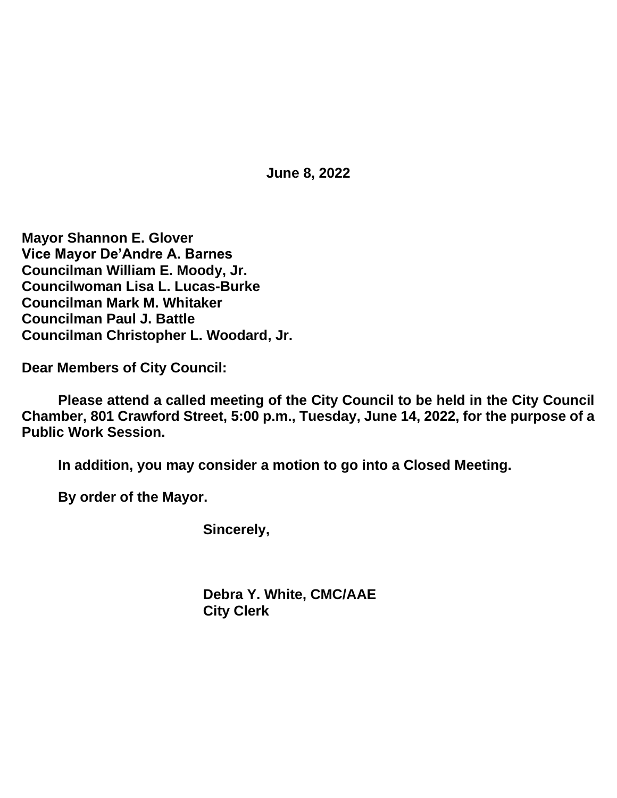**June 8, 2022**

**Mayor Shannon E. Glover Vice Mayor De'Andre A. Barnes Councilman William E. Moody, Jr. Councilwoman Lisa L. Lucas-Burke Councilman Mark M. Whitaker Councilman Paul J. Battle Councilman Christopher L. Woodard, Jr.**

**Dear Members of City Council:**

**Please attend a called meeting of the City Council to be held in the City Council Chamber, 801 Crawford Street, 5:00 p.m., Tuesday, June 14, 2022, for the purpose of a Public Work Session.**

**In addition, you may consider a motion to go into a Closed Meeting.**

**By order of the Mayor.**

**Sincerely,**

**Debra Y. White, CMC/AAE City Clerk**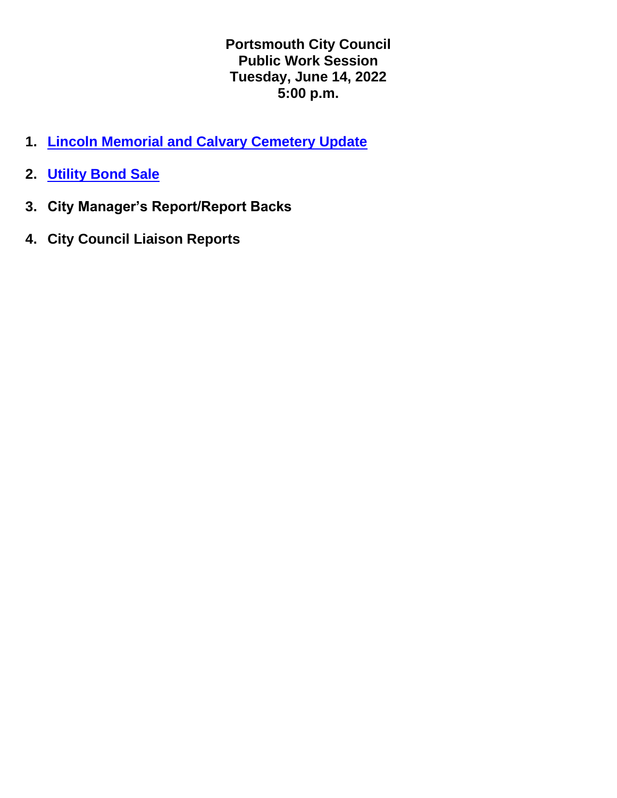**Portsmouth City Council Public Work Session Tuesday, June 14, 2022 5:00 p.m.**

- **1. [Lincoln Memorial and Calvary Cemetery Update](https://www.portsmouthva.gov/DocumentCenter/View/12536/June-14-2022-Cemetery-Update)**
- **2. [Utility Bond Sale](https://www.portsmouthva.gov/DocumentCenter/View/12537/Bond-VA-Council-Presentation-6142022-FINAL-002)**
- **3. City Manager's Report/Report Backs**
- **4. City Council Liaison Reports**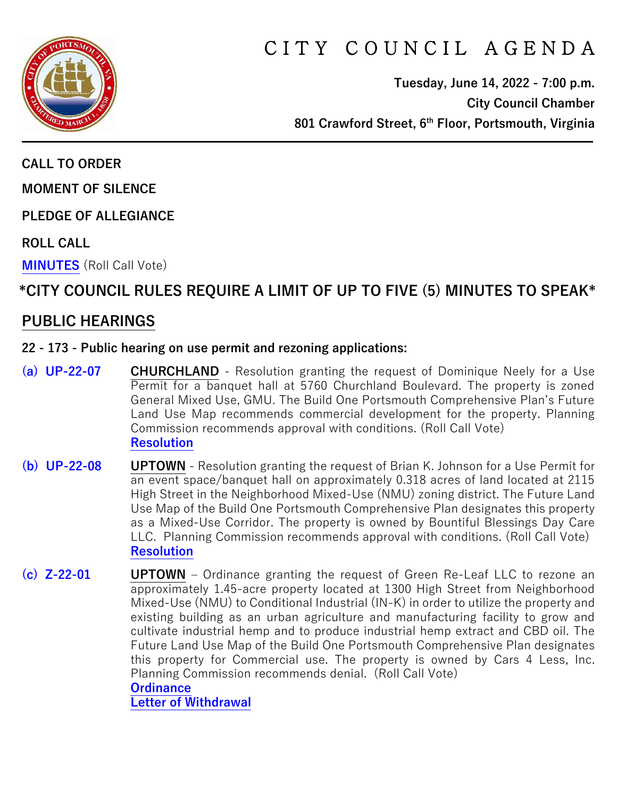

# CITY COUNCIL AGENDA

**Tuesday, June 14, 2022 - 7:00 p.m. City Council Chamber 801 Crawford Street, 6th Floor, Portsmouth, Virginia**

**CALL TO ORDER**

**MOMENT OF SILENCE**

**PLEDGE OF ALLEGIANCE** 

**ROLL CALL**

**[MINUTES](https://www.portsmouthva.gov/DocumentCenter/View/12499/City-Council-Minutes)** (Roll Call Vote)

# **\*CITY COUNCIL RULES REQUIRE A LIMIT OF UP TO FIVE (5) MINUTES TO SPEAK\***

### **PUBLIC HEARINGS**

#### **22 - 173 - Public hearing on use permit and rezoning applications:**

- **[\(a\) UP-22-07](https://www.portsmouthva.gov/DocumentCenter/View/12500/22-173a-Public-hearing) CHURCHLAND** Resolution granting the request of Dominique Neely for a Use Permit for a banquet hall at 5760 Churchland Boulevard. The property is zoned General Mixed Use, GMU. The Build One Portsmouth Comprehensive Plan's Future Land Use Map recommends commercial development for the property. Planning Commission recommends approval with conditions. (Roll Call Vote) **[Resolution](https://www.portsmouthva.gov/DocumentCenter/View/12501/22-173a-Resolution-)**
- **[\(b\) UP-22-08](https://www.portsmouthva.gov/DocumentCenter/View/12502/22-173b-Public-hearing) UPTOWN** Resolution granting the request of Brian K. Johnson for a Use Permit for an event space/banquet hall on approximately 0.318 acres of land located at 2115 High Street in the Neighborhood Mixed-Use (NMU) zoning district. The Future Land Use Map of the Build One Portsmouth Comprehensive Plan designates this property as a Mixed-Use Corridor. The property is owned by Bountiful Blessings Day Care LLC. Planning Commission recommends approval with conditions. (Roll Call Vote) **[Resolution](https://www.portsmouthva.gov/DocumentCenter/View/12503/22-173b-Resolution)**
- **[\(c\) Z-22-01](https://www.portsmouthva.gov/DocumentCenter/View/12504/22-173c-Public-hearing) UPTOWN** Ordinance granting the request of Green Re-Leaf LLC to rezone an approximately 1.45-acre property located at 1300 High Street from Neighborhood Mixed-Use (NMU) to Conditional Industrial (IN-K) in order to utilize the property and existing building as an urban agriculture and manufacturing facility to grow and cultivate industrial hemp and to produce industrial hemp extract and CBD oil. The Future Land Use Map of the Build One Portsmouth Comprehensive Plan designates this property for Commercial use. The property is owned by Cars 4 Less, Inc. Planning Commission recommends denial. (Roll Call Vote) **[Ordinance](https://www.portsmouthva.gov/DocumentCenter/View/12505/22-173c-Ordinance)**

**[Letter of Withdrawal](https://www.portsmouthva.gov/DocumentCenter/View/12531/22-173c-Letter-of-Withdrawal)**